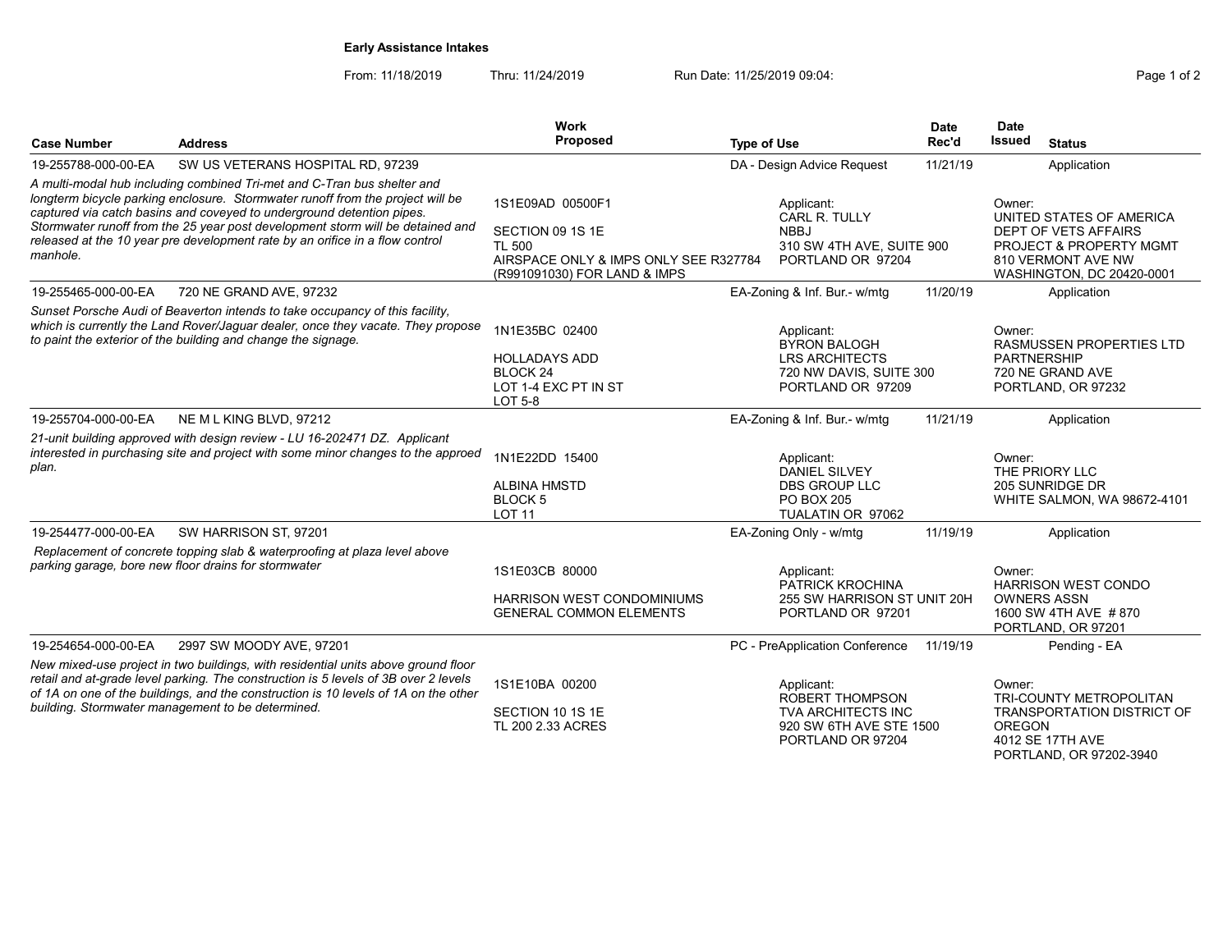## Early Assistance Intakes

From: 11/18/2019 Thru: 11/24/2019 Run Date: 11/25/2019 09:04:<br>Pag

| Page 1 of 2 |  |  |
|-------------|--|--|
|             |  |  |

PORTLAND, OR 97202-3940

| <b>Case Number</b>  | <b>Address</b>                                                                                                                                                                                                                                                                                                                                                                                       | Work<br>Proposed                                                                                                               | <b>Type of Use</b>                                                                                                | <b>Date</b><br>Rec'd        | <b>Date</b><br>Issued<br><b>Status</b>                                                                                                              |
|---------------------|------------------------------------------------------------------------------------------------------------------------------------------------------------------------------------------------------------------------------------------------------------------------------------------------------------------------------------------------------------------------------------------------------|--------------------------------------------------------------------------------------------------------------------------------|-------------------------------------------------------------------------------------------------------------------|-----------------------------|-----------------------------------------------------------------------------------------------------------------------------------------------------|
|                     |                                                                                                                                                                                                                                                                                                                                                                                                      |                                                                                                                                |                                                                                                                   |                             |                                                                                                                                                     |
| 19-255788-000-00-EA | SW US VETERANS HOSPITAL RD, 97239                                                                                                                                                                                                                                                                                                                                                                    |                                                                                                                                | DA - Design Advice Request                                                                                        | 11/21/19                    | Application                                                                                                                                         |
| manhole.            | A multi-modal hub including combined Tri-met and C-Tran bus shelter and<br>longterm bicycle parking enclosure. Stormwater runoff from the project will be<br>captured via catch basins and coveyed to underground detention pipes.<br>Stormwater runoff from the 25 year post development storm will be detained and<br>released at the 10 year pre development rate by an orifice in a flow control | 1S1E09AD 00500F1<br>SECTION 09 1S 1E<br><b>TL 500</b><br>AIRSPACE ONLY & IMPS ONLY SEE R327784<br>(R991091030) FOR LAND & IMPS | Applicant:<br>CARL R. TULLY<br><b>NBBJ</b><br>310 SW 4TH AVE, SUITE 900<br>PORTLAND OR 97204                      |                             | Owner:<br>UNITED STATES OF AMERICA<br>DEPT OF VETS AFFAIRS<br><b>PROJECT &amp; PROPERTY MGMT</b><br>810 VERMONT AVE NW<br>WASHINGTON, DC 20420-0001 |
| 19-255465-000-00-EA | 720 NE GRAND AVE, 97232                                                                                                                                                                                                                                                                                                                                                                              |                                                                                                                                | EA-Zoning & Inf. Bur.- w/mtg                                                                                      | 11/20/19                    | Application                                                                                                                                         |
|                     | Sunset Porsche Audi of Beaverton intends to take occupancy of this facility.<br>which is currently the Land Rover/Jaguar dealer, once they vacate. They propose<br>to paint the exterior of the building and change the signage.                                                                                                                                                                     | 1N1E35BC 02400<br><b>HOLLADAYS ADD</b><br>BLOCK <sub>24</sub><br>LOT 1-4 EXC PT IN ST<br>LOT 5-8                               | Applicant:<br><b>BYRON BALOGH</b><br><b>LRS ARCHITECTS</b><br>720 NW DAVIS, SUITE 300<br>PORTLAND OR 97209        |                             | Owner:<br><b>RASMUSSEN PROPERTIES LTD</b><br><b>PARTNERSHIP</b><br>720 NE GRAND AVE<br>PORTLAND, OR 97232                                           |
| 19-255704-000-00-EA | NE M L KING BLVD, 97212                                                                                                                                                                                                                                                                                                                                                                              |                                                                                                                                | EA-Zoning & Inf. Bur.- w/mtg                                                                                      | 11/21/19                    | Application                                                                                                                                         |
| plan.               | 21-unit building approved with design review - LU 16-202471 DZ. Applicant<br>interested in purchasing site and project with some minor changes to the approed                                                                                                                                                                                                                                        | 1N1E22DD 15400<br><b>ALBINA HMSTD</b><br><b>BLOCK 5</b><br><b>LOT 11</b>                                                       | Applicant:<br><b>DANIEL SILVEY</b><br><b>DBS GROUP LLC</b><br><b>PO BOX 205</b><br>TUALATIN OR 97062              |                             | Owner:<br>THE PRIORY LLC<br>205 SUNRIDGE DR<br>WHITE SALMON, WA 98672-4101                                                                          |
| 19-254477-000-00-EA | SW HARRISON ST, 97201                                                                                                                                                                                                                                                                                                                                                                                |                                                                                                                                | EA-Zoning Only - w/mtg                                                                                            | 11/19/19                    | Application                                                                                                                                         |
|                     | Replacement of concrete topping slab & waterproofing at plaza level above<br>parking garage, bore new floor drains for stormwater                                                                                                                                                                                                                                                                    | 1S1E03CB 80000<br><b>HARRISON WEST CONDOMINIUMS</b><br><b>GENERAL COMMON ELEMENTS</b>                                          | Applicant:<br>PATRICK KROCHINA<br>PORTLAND OR 97201                                                               | 255 SW HARRISON ST UNIT 20H | Owner:<br><b>HARRISON WEST CONDO</b><br><b>OWNERS ASSN</b><br>1600 SW 4TH AVE #870<br>PORTLAND, OR 97201                                            |
| 19-254654-000-00-EA | 2997 SW MOODY AVE, 97201                                                                                                                                                                                                                                                                                                                                                                             |                                                                                                                                | PC - PreApplication Conference                                                                                    | 11/19/19                    | Pending - EA                                                                                                                                        |
|                     | New mixed-use project in two buildings, with residential units above ground floor<br>retail and at-grade level parking. The construction is 5 levels of 3B over 2 levels<br>of 1A on one of the buildings, and the construction is 10 levels of 1A on the other<br>building. Stormwater management to be determined.                                                                                 | 1S1E10BA 00200<br>SECTION 10 1S 1E<br>TL 200 2.33 ACRES                                                                        | Applicant:<br><b>ROBERT THOMPSON</b><br><b>TVA ARCHITECTS INC</b><br>920 SW 6TH AVE STE 1500<br>PORTLAND OR 97204 |                             | Owner:<br>TRI-COUNTY METROPOLITAN<br><b>TRANSPORTATION DISTRICT OF</b><br><b>OREGON</b><br>4012 SE 17TH AVE                                         |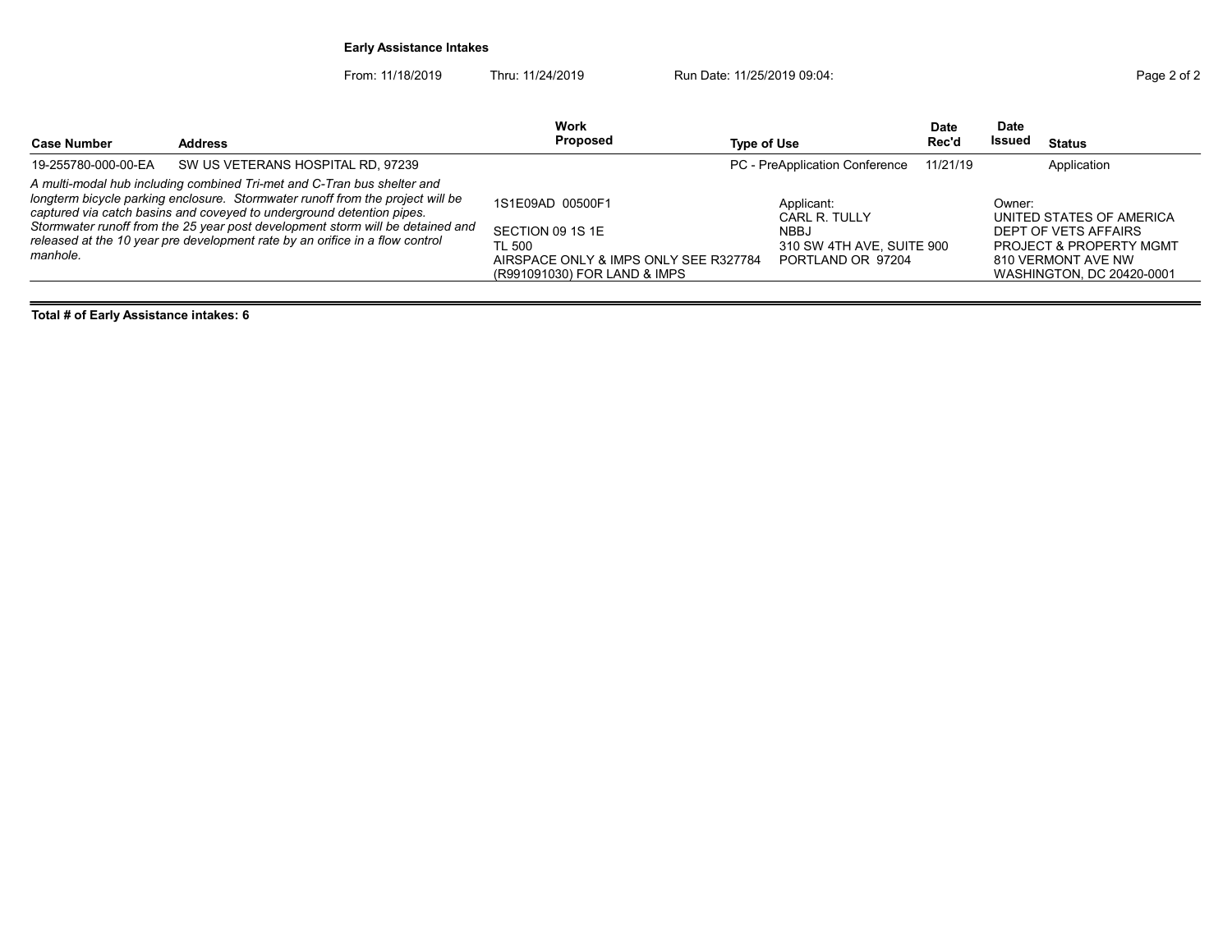## Early Assistance Intakes

From: 11/18/2019 Thru: 11/24/2019 Run Date: 11/25/2019 09:04:

| Page 2 of 2 |  |  |
|-------------|--|--|
|             |  |  |

| <b>Case Number</b>  | <b>Address</b>                                                                                                                                                                                                                                                                                                                                                                                       | Work<br>Proposed                                                                                                        | Type of Use                                                                                  | Date<br>Rec'd | <b>Date</b><br>Issued | <b>Status</b>                                                                                                                             |
|---------------------|------------------------------------------------------------------------------------------------------------------------------------------------------------------------------------------------------------------------------------------------------------------------------------------------------------------------------------------------------------------------------------------------------|-------------------------------------------------------------------------------------------------------------------------|----------------------------------------------------------------------------------------------|---------------|-----------------------|-------------------------------------------------------------------------------------------------------------------------------------------|
| 19-255780-000-00-EA | SW US VETERANS HOSPITAL RD, 97239                                                                                                                                                                                                                                                                                                                                                                    |                                                                                                                         | PC - PreApplication Conference                                                               | 11/21/19      |                       | Application                                                                                                                               |
| manhole.            | A multi-modal hub including combined Tri-met and C-Tran bus shelter and<br>longterm bicycle parking enclosure. Stormwater runoff from the project will be<br>captured via catch basins and coveyed to underground detention pipes.<br>Stormwater runoff from the 25 year post development storm will be detained and<br>released at the 10 year pre development rate by an orifice in a flow control | 1S1E09AD 00500F1<br>SECTION 09 1S 1E<br>TL 500<br>AIRSPACE ONLY & IMPS ONLY SEE R327784<br>(R991091030) FOR LAND & IMPS | Applicant:<br>CARL R. TULLY<br><b>NBBJ</b><br>310 SW 4TH AVE, SUITE 900<br>PORTLAND OR 97204 |               | Owner:                | UNITED STATES OF AMERICA<br>DEPT OF VETS AFFAIRS<br><b>PROJECT &amp; PROPERTY MGMT</b><br>810 VERMONT AVE NW<br>WASHINGTON, DC 20420-0001 |

Total # of Early Assistance intakes: 6

 $\equiv$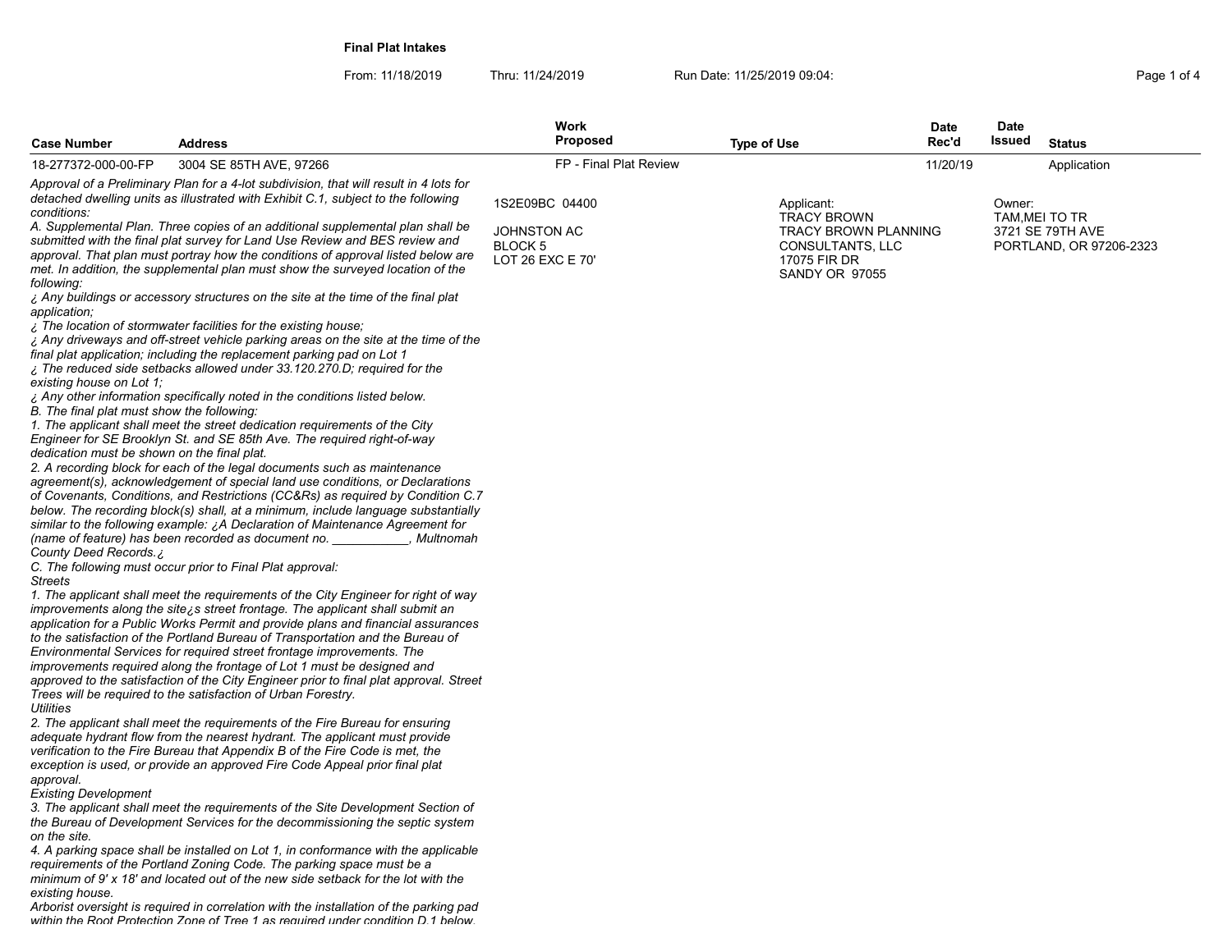Final Plat Intakes

From: 11/18/2019 Thru: 11/24/2019 Run Date: 11/25/2019 09:04:<br>4 Page 1 of 4

| <b>Case Number</b>                          | <b>Address</b>                                                                                                                                                                                                                                                                                                                         | Work<br>Proposed            | <b>Type of Use</b>                                 | <b>Date</b><br>Rec'd | <b>Date</b><br>Issued | <b>Status</b>                      |
|---------------------------------------------|----------------------------------------------------------------------------------------------------------------------------------------------------------------------------------------------------------------------------------------------------------------------------------------------------------------------------------------|-----------------------------|----------------------------------------------------|----------------------|-----------------------|------------------------------------|
| 18-277372-000-00-FP                         | 3004 SE 85TH AVE, 97266                                                                                                                                                                                                                                                                                                                | FP - Final Plat Review      |                                                    | 11/20/19             |                       | Application                        |
|                                             | Approval of a Preliminary Plan for a 4-lot subdivision, that will result in 4 lots for<br>detached dwelling units as illustrated with Exhibit C.1, subject to the following                                                                                                                                                            | 1S2E09BC 04400              | Applicant:                                         |                      | Owner:                |                                    |
| conditions:                                 | A. Supplemental Plan. Three copies of an additional supplemental plan shall be                                                                                                                                                                                                                                                         | <b>JOHNSTON AC</b>          | <b>TRACY BROWN</b><br><b>TRACY BROWN PLANNING</b>  |                      |                       | TAM, MEI TO TR<br>3721 SE 79TH AVE |
| following:                                  | submitted with the final plat survey for Land Use Review and BES review and<br>approval. That plan must portray how the conditions of approval listed below are<br>met. In addition, the supplemental plan must show the surveyed location of the                                                                                      | BLOCK 5<br>LOT 26 EXC E 70' | CONSULTANTS, LLC<br>17075 FIR DR<br>SANDY OR 97055 |                      |                       | PORTLAND, OR 97206-2323            |
| application;                                | ¿ Any buildings or accessory structures on the site at the time of the final plat                                                                                                                                                                                                                                                      |                             |                                                    |                      |                       |                                    |
| existing house on Lot 1:                    | . The location of stormwater facilities for the existing house:<br>¿ Any driveways and off-street vehicle parking areas on the site at the time of the<br>final plat application; including the replacement parking pad on Lot 1<br>¿ The reduced side setbacks allowed under 33.120.270.D; required for the                           |                             |                                                    |                      |                       |                                    |
| B. The final plat must show the following:  | ¿ Any other information specifically noted in the conditions listed below.<br>1. The applicant shall meet the street dedication requirements of the City                                                                                                                                                                               |                             |                                                    |                      |                       |                                    |
| dedication must be shown on the final plat. | Engineer for SE Brooklyn St. and SE 85th Ave. The required right-of-way<br>2. A recording block for each of the legal documents such as maintenance                                                                                                                                                                                    |                             |                                                    |                      |                       |                                    |
|                                             | agreement(s), acknowledgement of special land use conditions, or Declarations<br>of Covenants, Conditions, and Restrictions (CC&Rs) as required by Condition C.7<br>below. The recording block(s) shall, at a minimum, include language substantially<br>similar to the following example: ¿A Declaration of Maintenance Agreement for |                             |                                                    |                      |                       |                                    |
| County Deed Records. ¿                      | (name of feature) has been recorded as document no.<br>, Multnomah<br>C. The following must occur prior to Final Plat approval:                                                                                                                                                                                                        |                             |                                                    |                      |                       |                                    |
| <b>Streets</b>                              | 1. The applicant shall meet the requirements of the City Engineer for right of way<br>improvements along the site is street frontage. The applicant shall submit an<br>application for a Public Works Permit and provide plans and financial assurances                                                                                |                             |                                                    |                      |                       |                                    |
|                                             | to the satisfaction of the Portland Bureau of Transportation and the Bureau of<br>Environmental Services for required street frontage improvements. The<br>improvements required along the frontage of Lot 1 must be designed and                                                                                                      |                             |                                                    |                      |                       |                                    |
| <b>Utilities</b>                            | approved to the satisfaction of the City Engineer prior to final plat approval. Street<br>Trees will be required to the satisfaction of Urban Forestry.                                                                                                                                                                                |                             |                                                    |                      |                       |                                    |
|                                             | 2. The applicant shall meet the requirements of the Fire Bureau for ensuring<br>adequate hydrant flow from the nearest hydrant. The applicant must provide<br>verification to the Fire Bureau that Appendix B of the Fire Code is met, the                                                                                             |                             |                                                    |                      |                       |                                    |
| approval.<br><b>Existing Development</b>    | exception is used, or provide an approved Fire Code Appeal prior final plat                                                                                                                                                                                                                                                            |                             |                                                    |                      |                       |                                    |
| on the site.                                | 3. The applicant shall meet the requirements of the Site Development Section of<br>the Bureau of Development Services for the decommissioning the septic system                                                                                                                                                                        |                             |                                                    |                      |                       |                                    |
| existing house.                             | 4. A parking space shall be installed on Lot 1, in conformance with the applicable<br>requirements of the Portland Zoning Code. The parking space must be a<br>minimum of 9' x 18' and located out of the new side setback for the lot with the                                                                                        |                             |                                                    |                      |                       |                                    |
|                                             | Arborist oversight is required in correlation with the installation of the parking pad<br>within the Root Protection 7one of Tree 1 as required under condition D 1 helow                                                                                                                                                              |                             |                                                    |                      |                       |                                    |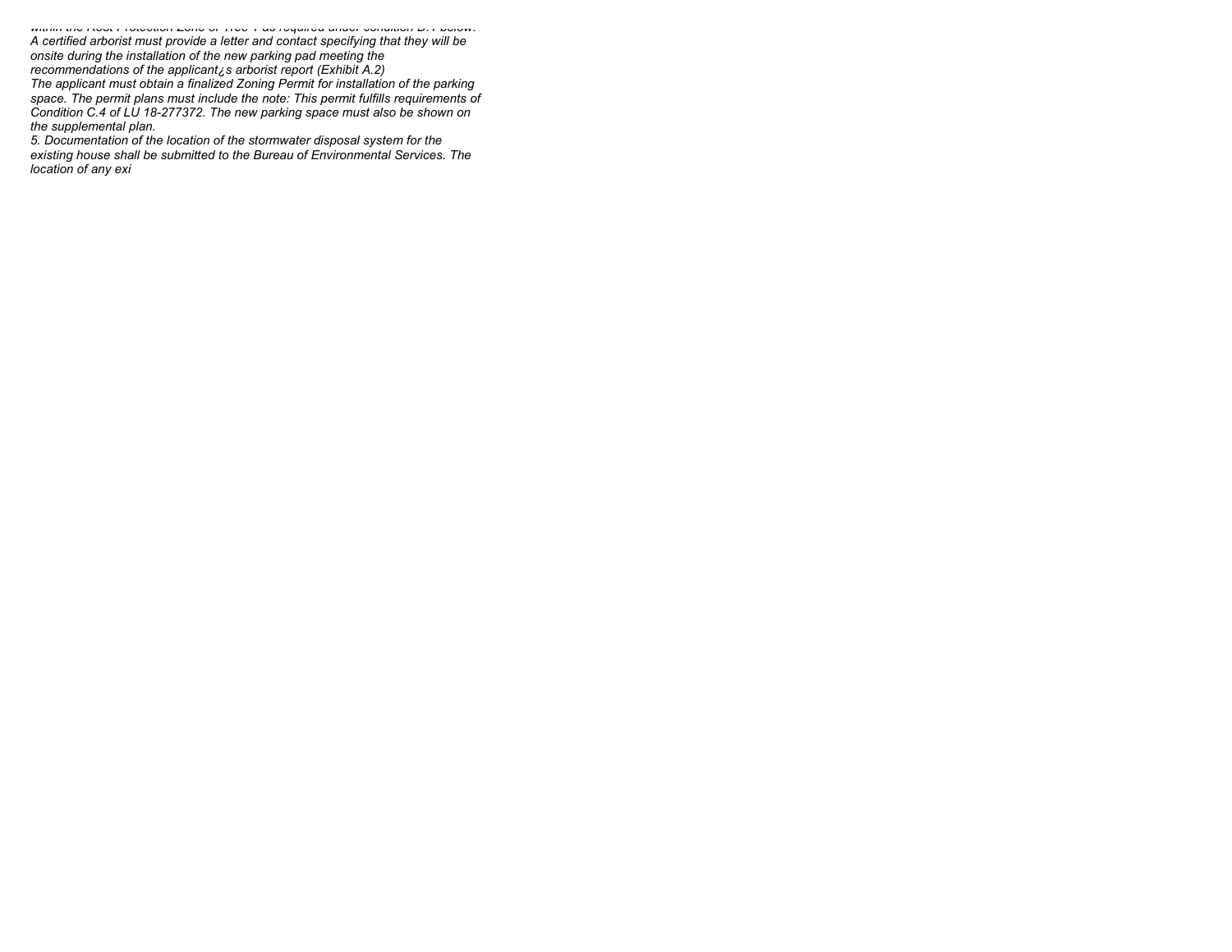within the Root Protection Zone of Tree 1 as required under condition D.1 below. A certified arborist must provide a letter and contact specifying that they will be onsite during the installation of the new parking pad meeting the recommendations of the applicant¿s arborist report (Exhibit A.2) The applicant must obtain a finalized Zoning Permit for installation of the parking space. The permit plans must include the note: This permit fulfills requirements of Condition C.4 of LU 18-277372. The new parking space must also be shown on the supplemental plan.

5. Documentation of the location of the stormwater disposal system for the existing house shall be submitted to the Bureau of Environmental Services. The location of any exi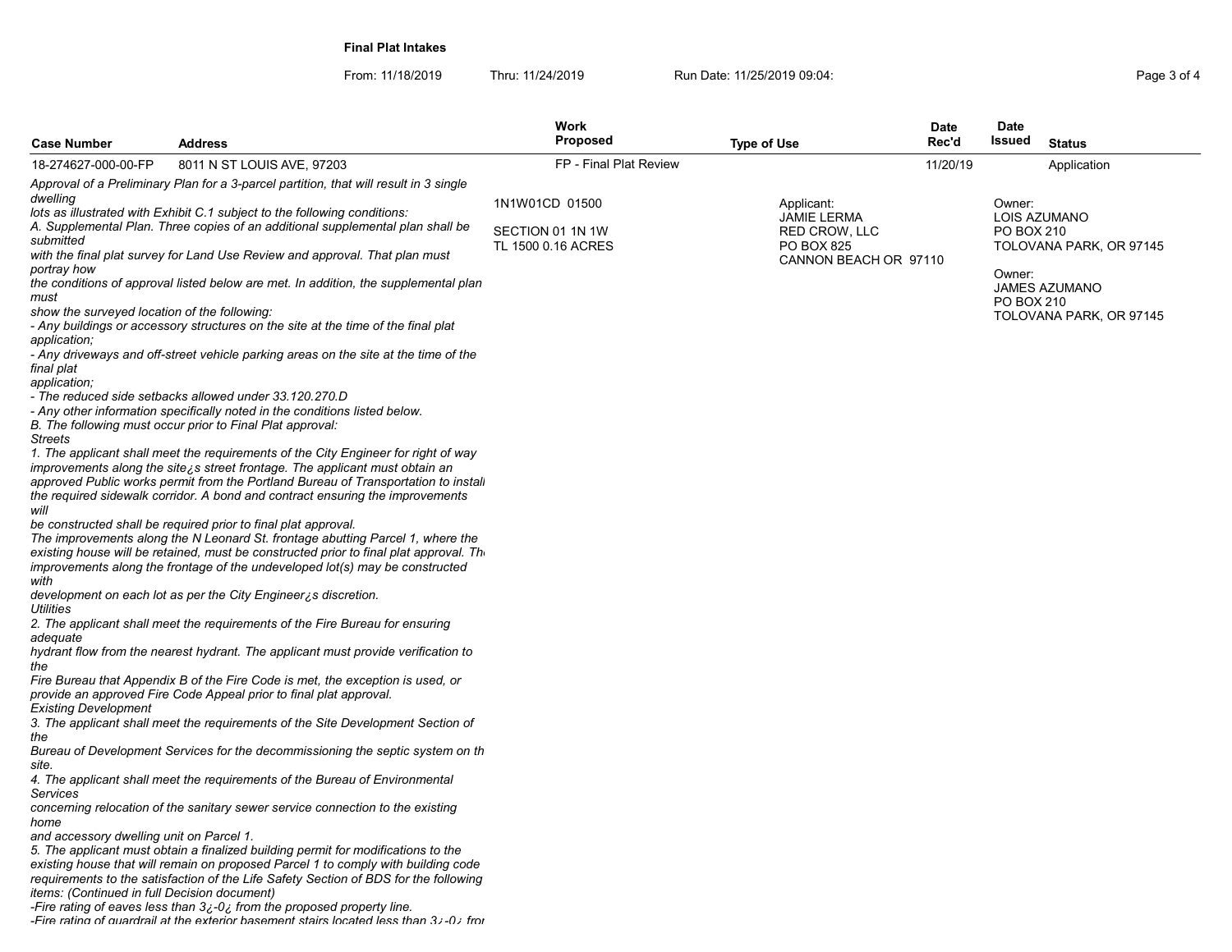Final Plat Intakes

From: 11/18/2019 Thru: 11/24/2019 Run Date: 11/25/2019 09:04:<br>4 Page 3 of 4

| <b>Case Number</b>                                                                                                                                                 | <b>Address</b>                                                                                                                                                                                                                                                                                                                                                                                                                                                                                                                                                                                                                                                                                                                                                                                                                                                                                                                                                                                                                                                                                                                                  | Work<br><b>Proposed</b>                                  | <b>Type of Use</b>                                                                       | <b>Date</b><br>Rec'd | <b>Date</b><br><b>Issued</b><br><b>Status</b>                           |
|--------------------------------------------------------------------------------------------------------------------------------------------------------------------|-------------------------------------------------------------------------------------------------------------------------------------------------------------------------------------------------------------------------------------------------------------------------------------------------------------------------------------------------------------------------------------------------------------------------------------------------------------------------------------------------------------------------------------------------------------------------------------------------------------------------------------------------------------------------------------------------------------------------------------------------------------------------------------------------------------------------------------------------------------------------------------------------------------------------------------------------------------------------------------------------------------------------------------------------------------------------------------------------------------------------------------------------|----------------------------------------------------------|------------------------------------------------------------------------------------------|----------------------|-------------------------------------------------------------------------|
| 18-274627-000-00-FP                                                                                                                                                | 8011 N ST LOUIS AVE, 97203                                                                                                                                                                                                                                                                                                                                                                                                                                                                                                                                                                                                                                                                                                                                                                                                                                                                                                                                                                                                                                                                                                                      | FP - Final Plat Review                                   |                                                                                          | 11/20/19             | Application                                                             |
|                                                                                                                                                                    | Approval of a Preliminary Plan for a 3-parcel partition, that will result in 3 single                                                                                                                                                                                                                                                                                                                                                                                                                                                                                                                                                                                                                                                                                                                                                                                                                                                                                                                                                                                                                                                           |                                                          |                                                                                          |                      |                                                                         |
| dwelling<br>submitted                                                                                                                                              | lots as illustrated with Exhibit C.1 subject to the following conditions:<br>A. Supplemental Plan. Three copies of an additional supplemental plan shall be<br>with the final plat survey for Land Use Review and approval. That plan must                                                                                                                                                                                                                                                                                                                                                                                                                                                                                                                                                                                                                                                                                                                                                                                                                                                                                                      | 1N1W01CD 01500<br>SECTION 01 1N 1W<br>TL 1500 0.16 ACRES | Applicant:<br>JAMIE LERMA<br>RED CROW, LLC<br><b>PO BOX 825</b><br>CANNON BEACH OR 97110 |                      | Owner:<br><b>LOIS AZUMANO</b><br>PO BOX 210<br>TOLOVANA PARK, OR 97145  |
| portray how<br>must<br>show the surveyed location of the following:<br>application;<br>final plat<br>application;<br><b>Streets</b><br>will                        | the conditions of approval listed below are met. In addition, the supplemental plan<br>- Any buildings or accessory structures on the site at the time of the final plat<br>- Any driveways and off-street vehicle parking areas on the site at the time of the<br>- The reduced side setbacks allowed under 33.120.270.D<br>- Any other information specifically noted in the conditions listed below.<br>B. The following must occur prior to Final Plat approval:<br>1. The applicant shall meet the requirements of the City Engineer for right of way<br>improvements along the site is street frontage. The applicant must obtain an<br>approved Public works permit from the Portland Bureau of Transportation to instali<br>the required sidewalk corridor. A bond and contract ensuring the improvements<br>be constructed shall be required prior to final plat approval.<br>The improvements along the N Leonard St. frontage abutting Parcel 1, where the<br>existing house will be retained, must be constructed prior to final plat approval. The<br>improvements along the frontage of the undeveloped lot(s) may be constructed |                                                          |                                                                                          |                      | Owner:<br><b>JAMES AZUMANO</b><br>PO BOX 210<br>TOLOVANA PARK, OR 97145 |
| with<br><b>Utilities</b><br>adequate<br>the                                                                                                                        | development on each lot as per the City Engineer is discretion.<br>2. The applicant shall meet the requirements of the Fire Bureau for ensuring<br>hydrant flow from the nearest hydrant. The applicant must provide verification to<br>Fire Bureau that Appendix B of the Fire Code is met, the exception is used, or<br>provide an approved Fire Code Appeal prior to final plat approval.                                                                                                                                                                                                                                                                                                                                                                                                                                                                                                                                                                                                                                                                                                                                                    |                                                          |                                                                                          |                      |                                                                         |
| <b>Existing Development</b><br>the<br>site.<br>Services<br>home<br>and accessory dwelling unit on Parcel 1.<br><i>items: (Continued in full Decision document)</i> | 3. The applicant shall meet the requirements of the Site Development Section of<br>Bureau of Development Services for the decommissioning the septic system on th<br>4. The applicant shall meet the requirements of the Bureau of Environmental<br>concerning relocation of the sanitary sewer service connection to the existing<br>5. The applicant must obtain a finalized building permit for modifications to the<br>existing house that will remain on proposed Parcel 1 to comply with building code<br>requirements to the satisfaction of the Life Safety Section of BDS for the following<br>-Fire rating of eaves less than 3¿-0¿ from the proposed property line.<br>-Fire rating of quardrail at the exterior basement stairs located less than 3:-0; from                                                                                                                                                                                                                                                                                                                                                                        |                                                          |                                                                                          |                      |                                                                         |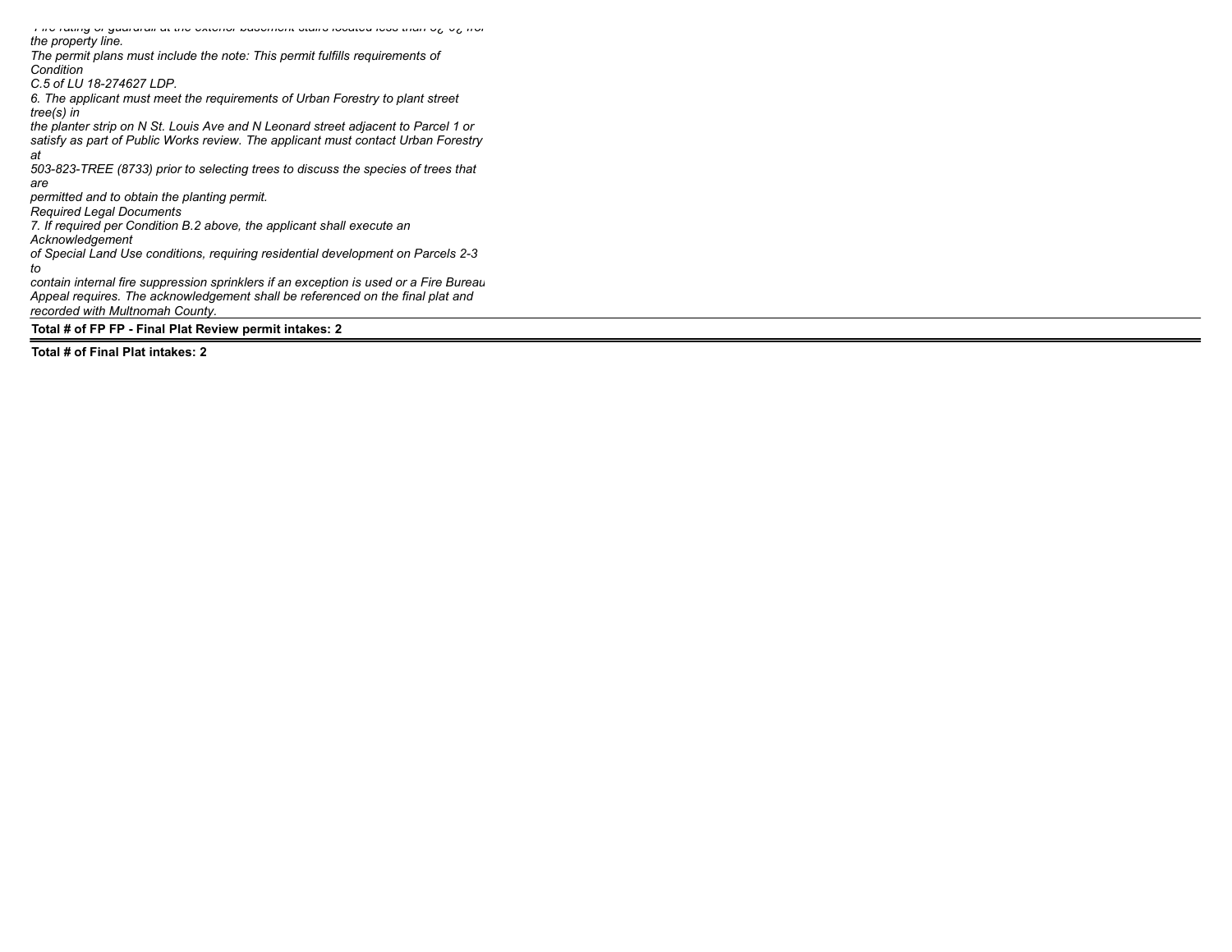-Fire rating of guardrail at the exterior basement stairs located less than 3¿-0¿ from the property line. The permit plans must include the note: This permit fulfills requirements of Condition C.5 of LU 18-274627 LDP. 6. The applicant must meet the requirements of Urban Forestry to plant street tree(s) in the planter strip on N St. Louis Ave and N Leonard street adjacent to Parcel 1 or satisfy as part of Public Works review. The applicant must contact Urban Forestry at 503-823-TREE (8733) prior to selecting trees to discuss the species of trees that are permitted and to obtain the planting permit. Required Legal Documents 7. If required per Condition B.2 above, the applicant shall execute an Acknowledgement of Special Land Use conditions, requiring residential development on Parcels 2-3 to contain internal fire suppression sprinklers if an exception is used or a Fire Bureau Appeal requires. The acknowledgement shall be referenced on the final plat and recorded with Multnomah County.

Total # of FP FP - Final Plat Review permit intakes: 2

Total # of Final Plat intakes: 2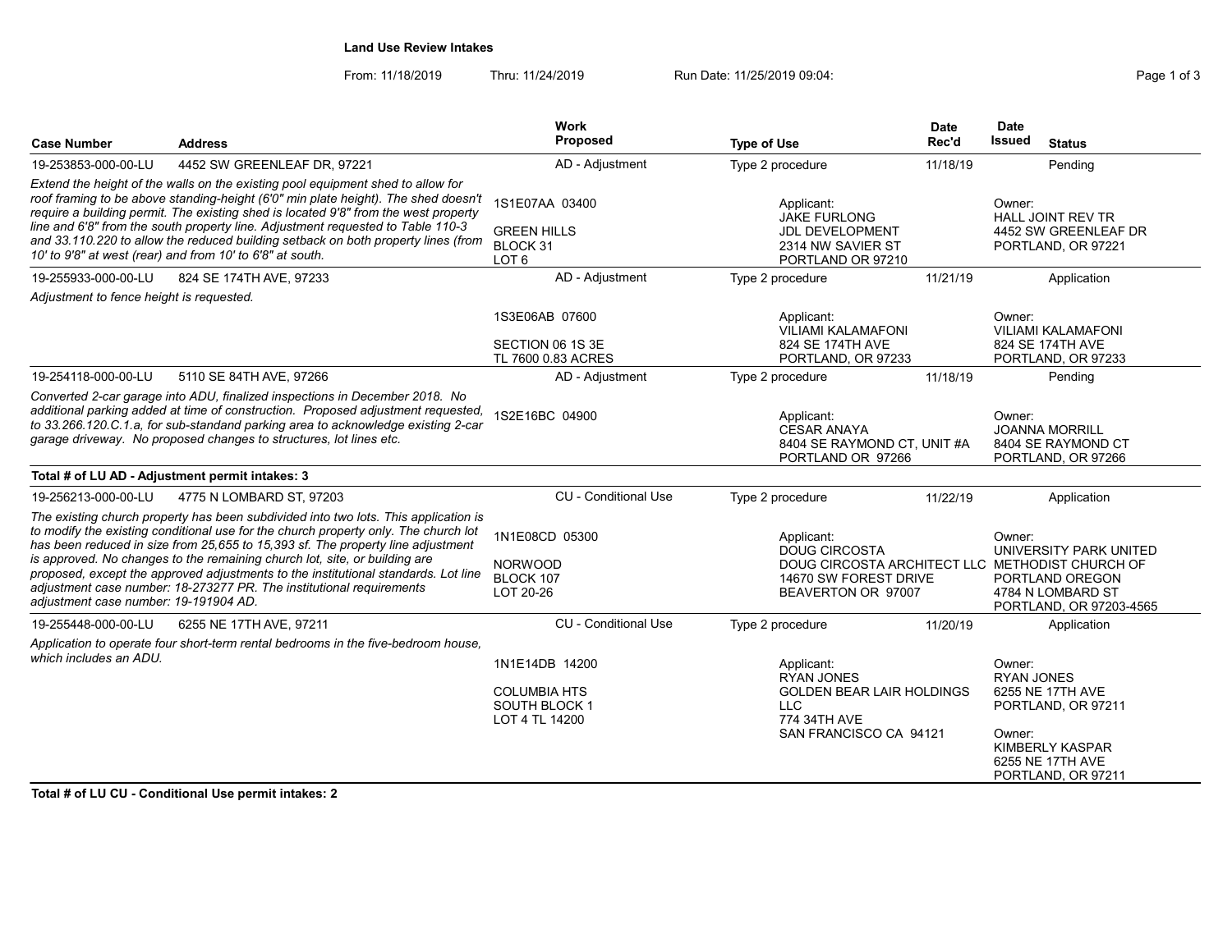## Land Use Review Intakes

From: 11/18/2019 Thru: 11/24/2019 Run Date: 11/25/2019 09:04:<br>
Page 1 of 3

| <b>Case Number</b>                       | <b>Address</b>                                                                                                                                                                                                                                                                                                                                                                                                                                                                                            | Work<br><b>Proposed</b>                                                  | <b>Type of Use</b>                                                                                                    | <b>Date</b><br>Rec'd | <b>Date</b><br>Issued<br><b>Status</b>                                                                                                                 |
|------------------------------------------|-----------------------------------------------------------------------------------------------------------------------------------------------------------------------------------------------------------------------------------------------------------------------------------------------------------------------------------------------------------------------------------------------------------------------------------------------------------------------------------------------------------|--------------------------------------------------------------------------|-----------------------------------------------------------------------------------------------------------------------|----------------------|--------------------------------------------------------------------------------------------------------------------------------------------------------|
| 19-253853-000-00-LU                      | 4452 SW GREENLEAF DR, 97221                                                                                                                                                                                                                                                                                                                                                                                                                                                                               | AD - Adjustment                                                          | Type 2 procedure                                                                                                      | 11/18/19             | Pending                                                                                                                                                |
|                                          | Extend the height of the walls on the existing pool equipment shed to allow for<br>roof framing to be above standing-height (6'0" min plate height). The shed doesn't<br>require a building permit. The existing shed is located 9'8" from the west property<br>line and 6'8" from the south property line. Adjustment requested to Table 110-3<br>and 33.110.220 to allow the reduced building setback on both property lines (from<br>10' to 9'8" at west (rear) and from 10' to 6'8" at south.         | 1S1E07AA 03400<br><b>GREEN HILLS</b><br>BLOCK 31<br>LOT <sub>6</sub>     | Applicant:<br><b>JAKE FURLONG</b><br><b>JDL DEVELOPMENT</b><br>2314 NW SAVIER ST<br>PORTLAND OR 97210                 |                      | Owner:<br>HALL JOINT REV TR<br>4452 SW GREENLEAF DR<br>PORTLAND, OR 97221                                                                              |
| 19-255933-000-00-LU                      | 824 SE 174TH AVE, 97233                                                                                                                                                                                                                                                                                                                                                                                                                                                                                   | AD - Adjustment                                                          | Type 2 procedure                                                                                                      | 11/21/19             | Application                                                                                                                                            |
| Adjustment to fence height is requested. |                                                                                                                                                                                                                                                                                                                                                                                                                                                                                                           |                                                                          |                                                                                                                       |                      |                                                                                                                                                        |
|                                          |                                                                                                                                                                                                                                                                                                                                                                                                                                                                                                           | 1S3E06AB 07600<br>SECTION 06 1S 3E<br>TL 7600 0.83 ACRES                 | Applicant:<br><b>VILIAMI KALAMAFONI</b><br>824 SE 174TH AVE<br>PORTLAND, OR 97233                                     |                      | Owner:<br><b>VILIAMI KALAMAFONI</b><br>824 SE 174TH AVE<br>PORTLAND, OR 97233                                                                          |
| 19-254118-000-00-LU                      | 5110 SE 84TH AVE, 97266                                                                                                                                                                                                                                                                                                                                                                                                                                                                                   | AD - Adjustment                                                          | Type 2 procedure                                                                                                      | 11/18/19             | Pending                                                                                                                                                |
|                                          | Converted 2-car garage into ADU, finalized inspections in December 2018. No<br>additional parking added at time of construction. Proposed adjustment requested,<br>to 33.266.120.C.1.a, for sub-standand parking area to acknowledge existing 2-car<br>garage driveway. No proposed changes to structures, lot lines etc.                                                                                                                                                                                 | 1S2E16BC 04900                                                           | Applicant:<br><b>CESAR ANAYA</b><br>8404 SE RAYMOND CT, UNIT #A<br>PORTLAND OR 97266                                  |                      | Owner:<br><b>JOANNA MORRILL</b><br>8404 SE RAYMOND CT<br>PORTLAND, OR 97266                                                                            |
|                                          | Total # of LU AD - Adjustment permit intakes: 3                                                                                                                                                                                                                                                                                                                                                                                                                                                           |                                                                          |                                                                                                                       |                      |                                                                                                                                                        |
| 19-256213-000-00-LU                      | 4775 N LOMBARD ST. 97203                                                                                                                                                                                                                                                                                                                                                                                                                                                                                  | CU - Conditional Use                                                     | Type 2 procedure                                                                                                      | 11/22/19             | Application                                                                                                                                            |
| adjustment case number: 19-191904 AD.    | The existing church property has been subdivided into two lots. This application is<br>to modify the existing conditional use for the church property only. The church lot<br>has been reduced in size from 25,655 to 15,393 sf. The property line adjustment<br>is approved. No changes to the remaining church lot, site, or building are<br>proposed, except the approved adjustments to the institutional standards. Lot line<br>adjustment case number: 18-273277 PR. The institutional requirements | 1N1E08CD 05300<br><b>NORWOOD</b><br>BLOCK 107<br>LOT 20-26               | Applicant:<br><b>DOUG CIRCOSTA</b><br>14670 SW FOREST DRIVE<br>BEAVERTON OR 97007                                     |                      | Owner:<br>UNIVERSITY PARK UNITED<br>DOUG CIRCOSTA ARCHITECT LLC METHODIST CHURCH OF<br>PORTLAND OREGON<br>4784 N LOMBARD ST<br>PORTLAND, OR 97203-4565 |
| 19-255448-000-00-LU                      | 6255 NE 17TH AVE, 97211                                                                                                                                                                                                                                                                                                                                                                                                                                                                                   | <b>CU</b> - Conditional Use                                              | Type 2 procedure                                                                                                      | 11/20/19             | Application                                                                                                                                            |
| which includes an ADU.                   | Application to operate four short-term rental bedrooms in the five-bedroom house,                                                                                                                                                                                                                                                                                                                                                                                                                         | 1N1E14DB 14200<br><b>COLUMBIA HTS</b><br>SOUTH BLOCK 1<br>LOT 4 TL 14200 | Applicant:<br><b>RYAN JONES</b><br><b>GOLDEN BEAR LAIR HOLDINGS</b><br>LLC.<br>774 34TH AVE<br>SAN FRANCISCO CA 94121 |                      | Owner:<br><b>RYAN JONES</b><br>6255 NE 17TH AVE<br>PORTLAND, OR 97211<br>Owner:<br><b>KIMBERLY KASPAR</b><br>6255 NE 17TH AVE<br>PORTLAND, OR 97211    |

Total # of LU CU - Conditional Use permit intakes: 2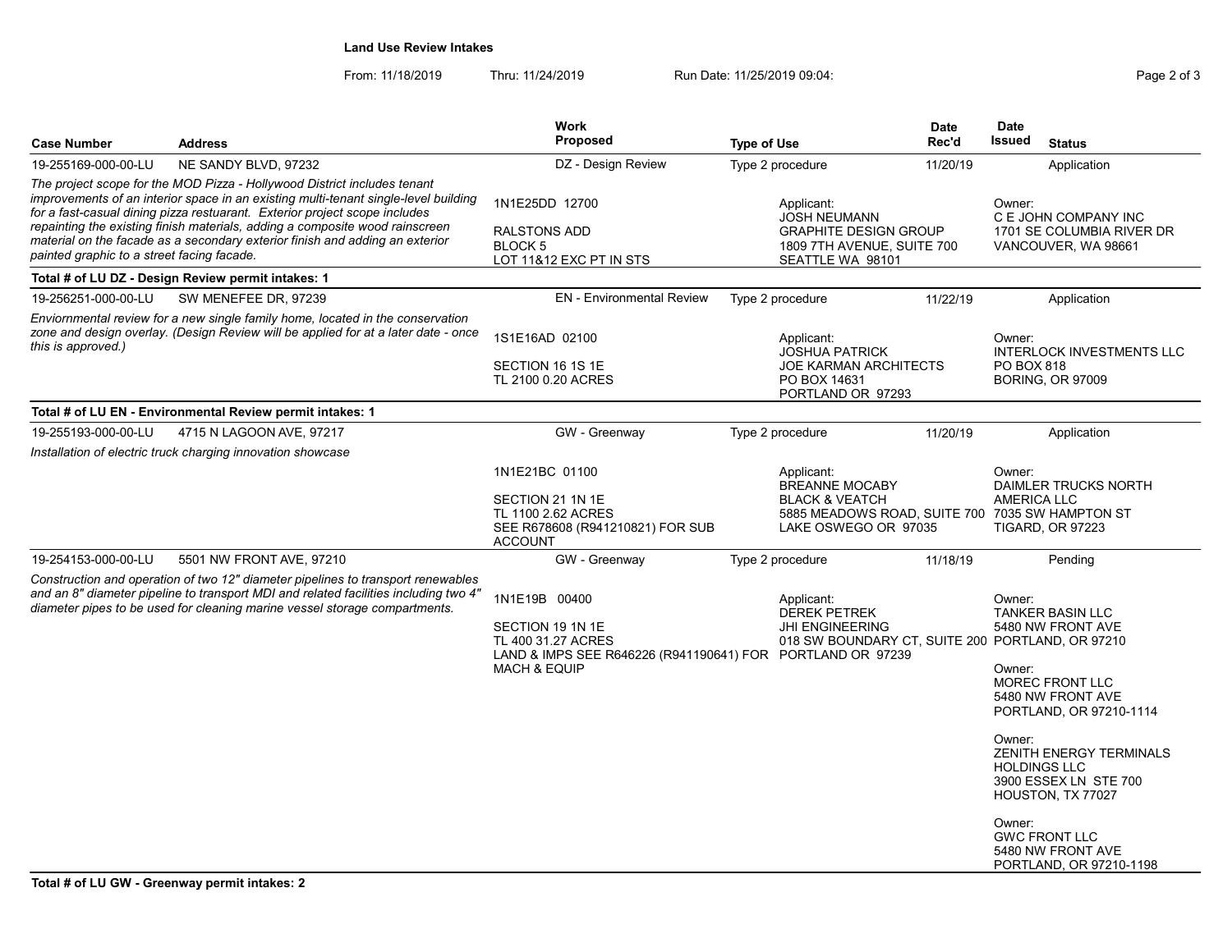Land Use Review Intakes

| <b>Case Number</b>                         | <b>Address</b>                                                                                                                                                                                                                                                                                                                                                                                                | <b>Work</b><br><b>Proposed</b>                                                                                                                   | <b>Type of Use</b> |                                                                                                                                             | <b>Date</b><br>Rec'd | <b>Date</b><br>Issued                             | <b>Status</b>                                                                                                                                                                                          |
|--------------------------------------------|---------------------------------------------------------------------------------------------------------------------------------------------------------------------------------------------------------------------------------------------------------------------------------------------------------------------------------------------------------------------------------------------------------------|--------------------------------------------------------------------------------------------------------------------------------------------------|--------------------|---------------------------------------------------------------------------------------------------------------------------------------------|----------------------|---------------------------------------------------|--------------------------------------------------------------------------------------------------------------------------------------------------------------------------------------------------------|
| 19-255169-000-00-LU                        | NE SANDY BLVD, 97232                                                                                                                                                                                                                                                                                                                                                                                          | DZ - Design Review                                                                                                                               |                    | Type 2 procedure                                                                                                                            | 11/20/19             |                                                   | Application                                                                                                                                                                                            |
| painted graphic to a street facing facade. | The project scope for the MOD Pizza - Hollywood District includes tenant<br>improvements of an interior space in an existing multi-tenant single-level building<br>for a fast-casual dining pizza restuarant. Exterior project scope includes<br>repainting the existing finish materials, adding a composite wood rainscreen<br>material on the facade as a secondary exterior finish and adding an exterior | 1N1E25DD 12700<br>RALSTONS ADD<br>BLOCK <sub>5</sub><br>LOT 11&12 EXC PT IN STS                                                                  |                    | Applicant:<br>JOSH NEUMANN<br><b>GRAPHITE DESIGN GROUP</b><br>1809 7TH AVENUE, SUITE 700<br>SEATTLE WA 98101                                |                      | Owner:                                            | C E JOHN COMPANY INC<br>1701 SE COLUMBIA RIVER DR<br>VANCOUVER, WA 98661                                                                                                                               |
|                                            | Total # of LU DZ - Design Review permit intakes: 1                                                                                                                                                                                                                                                                                                                                                            |                                                                                                                                                  |                    |                                                                                                                                             |                      |                                                   |                                                                                                                                                                                                        |
| 19-256251-000-00-LU                        | SW MENEFEE DR, 97239                                                                                                                                                                                                                                                                                                                                                                                          | <b>EN</b> - Environmental Review                                                                                                                 |                    | Type 2 procedure                                                                                                                            | 11/22/19             |                                                   | Application                                                                                                                                                                                            |
| this is approved.)                         | Enviornmental review for a new single family home, located in the conservation<br>zone and design overlay. (Design Review will be applied for at a later date - once                                                                                                                                                                                                                                          | 1S1E16AD 02100<br>SECTION 16 1S 1E<br>TL 2100 0.20 ACRES                                                                                         |                    | Applicant:<br><b>JOSHUA PATRICK</b><br><b>JOE KARMAN ARCHITECTS</b><br>PO BOX 14631<br>PORTLAND OR 97293                                    |                      | Owner:<br>PO BOX 818                              | <b>INTERLOCK INVESTMENTS LLC</b><br><b>BORING, OR 97009</b>                                                                                                                                            |
|                                            | Total # of LU EN - Environmental Review permit intakes: 1                                                                                                                                                                                                                                                                                                                                                     |                                                                                                                                                  |                    |                                                                                                                                             |                      |                                                   |                                                                                                                                                                                                        |
| 19-255193-000-00-LU                        | 4715 N LAGOON AVE, 97217                                                                                                                                                                                                                                                                                                                                                                                      | GW - Greenway                                                                                                                                    |                    | Type 2 procedure                                                                                                                            | 11/20/19             |                                                   | Application                                                                                                                                                                                            |
|                                            | Installation of electric truck charging innovation showcase                                                                                                                                                                                                                                                                                                                                                   |                                                                                                                                                  |                    |                                                                                                                                             |                      |                                                   |                                                                                                                                                                                                        |
|                                            |                                                                                                                                                                                                                                                                                                                                                                                                               | 1N1E21BC 01100<br>SECTION 21 1N 1E<br>TL 1100 2.62 ACRES<br>SEE R678608 (R941210821) FOR SUB<br><b>ACCOUNT</b>                                   |                    | Applicant:<br><b>BREANNE MOCABY</b><br><b>BLACK &amp; VEATCH</b><br>5885 MEADOWS ROAD, SUITE 700 7035 SW HAMPTON ST<br>LAKE OSWEGO OR 97035 |                      | Owner:<br>AMERICA LLC                             | <b>DAIMLER TRUCKS NORTH</b><br><b>TIGARD, OR 97223</b>                                                                                                                                                 |
| 19-254153-000-00-LU                        | 5501 NW FRONT AVE, 97210                                                                                                                                                                                                                                                                                                                                                                                      | GW - Greenway                                                                                                                                    |                    | Type 2 procedure                                                                                                                            | 11/18/19             |                                                   | Pending                                                                                                                                                                                                |
|                                            | Construction and operation of two 12" diameter pipelines to transport renewables<br>and an 8" diameter pipeline to transport MDI and related facilities including two 4"<br>diameter pipes to be used for cleaning marine vessel storage compartments.                                                                                                                                                        | 1N1E19B 00400<br>SECTION 19 1N 1E<br>TL 400 31.27 ACRES<br>LAND & IMPS SEE R646226 (R941190641) FOR PORTLAND OR 97239<br><b>MACH &amp; EQUIP</b> |                    | Applicant:<br><b>DEREK PETREK</b><br><b>JHI ENGINEERING</b><br>018 SW BOUNDARY CT, SUITE 200 PORTLAND, OR 97210                             |                      | Owner:<br>Owner:<br>Owner:<br><b>HOLDINGS LLC</b> | <b>TANKER BASIN LLC</b><br>5480 NW FRONT AVE<br><b>MOREC FRONT LLC</b><br>5480 NW FRONT AVE<br>PORTLAND, OR 97210-1114<br><b>ZENITH ENERGY TERMINALS</b><br>3900 ESSEX LN STE 700<br>HOUSTON, TX 77027 |
|                                            |                                                                                                                                                                                                                                                                                                                                                                                                               |                                                                                                                                                  |                    |                                                                                                                                             |                      | Owner:                                            | <b>GWC FRONT LLC</b><br>5480 NW FRONT AVE<br>PORTLAND, OR 97210-1198                                                                                                                                   |